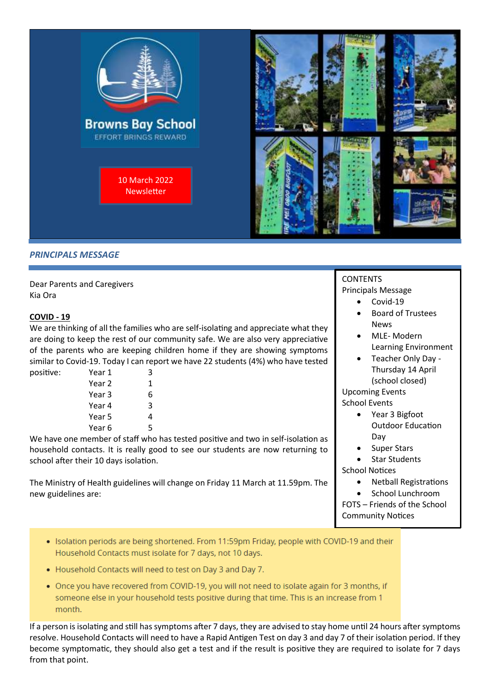

## **PRINCIPALS MESSAGE**

Dear Parents and Caregivers Kia Ora

#### **COVID - 19**

We are thinking of all the families who are self-isolating and appreciate what they are doing to keep the rest of our community safe. We are also very appreciative of the parents who are keeping children home if they are showing symptoms similar to Covid-19. Today I can report we have 22 students (4%) who have tested

| positive: | Year 1 | 3 |
|-----------|--------|---|
|           | Year 2 | 1 |
|           | Year 3 | 6 |
|           | Year 4 | 3 |
|           | Year 5 |   |
|           | Year 6 | 5 |
|           |        |   |

We have one member of staff who has tested positive and two in self-isolation as household contacts. It is really good to see our students are now returning to school after their 10 days isolation.

The Ministry of Health guidelines will change on Friday 11 March at 11.59pm. The new guidelines are:

## **CONTENTS**

Principals Message

- Covid-19
- Board of Trustees News
- MLE- Modern Learning Environment
- Teacher Only Day Thursday 14 April (school closed)

Upcoming Events School Events

- Year 3 Bigfoot Outdoor Education Day
- Super Stars
- **Star Students**

School Notices

- Netball Registrations
- School Lunchroom

FOTS – Friends of the School Community Notices

- · Isolation periods are being shortened. From 11:59pm Friday, people with COVID-19 and their Household Contacts must isolate for 7 days, not 10 days.
- Household Contacts will need to test on Day 3 and Day 7.
- . Once you have recovered from COVID-19, you will not need to isolate again for 3 months, if someone else in your household tests positive during that time. This is an increase from 1 month.

If a person is isolating and still has symptoms after 7 days, they are advised to stay home until 24 hours after symptoms resolve. Household Contacts will need to have a Rapid Antigen Test on day 3 and day 7 of their isolation period. If they become symptomatic, they should also get a test and if the result is positive they are required to isolate for 7 days from that point.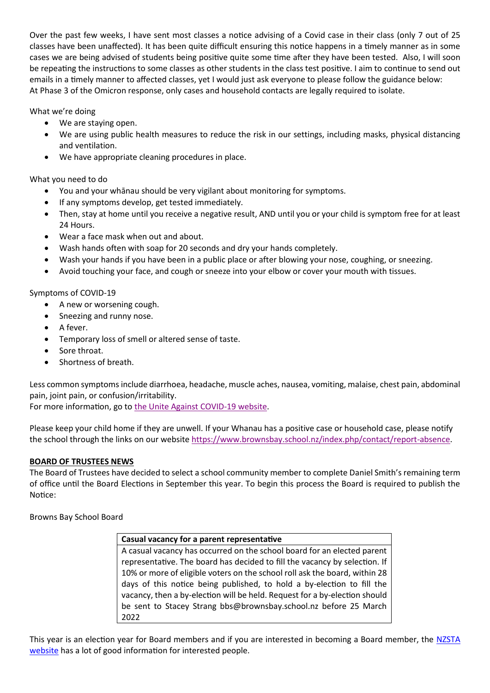Over the past few weeks, I have sent most classes a notice advising of a Covid case in their class (only 7 out of 25 classes have been unaffected). It has been quite difficult ensuring this notice happens in a timely manner as in some cases we are being advised of students being positive quite some time after they have been tested. Also, I will soon be repeating the instructions to some classes as other students in the class test positive. I aim to continue to send out emails in a timely manner to affected classes, yet I would just ask everyone to please follow the guidance below: At Phase 3 of the Omicron response, only cases and household contacts are legally required to isolate.

What we're doing

- We are staying open.
- We are using public health measures to reduce the risk in our settings, including masks, physical distancing and ventilation.
- We have appropriate cleaning procedures in place.

What you need to do

- You and your whānau should be very vigilant about monitoring for symptoms.
- If any symptoms develop, get tested immediately.
- Then, stay at home until you receive a negative result, AND until you or your child is symptom free for at least 24 Hours.
- Wear a face mask when out and about.
- Wash hands often with soap for 20 seconds and dry your hands completely.
- Wash your hands if you have been in a public place or after blowing your nose, coughing, or sneezing.
- Avoid touching your face, and cough or sneeze into your elbow or cover your mouth with tissues.

Symptoms of COVID-19

- A new or worsening cough.
- Sneezing and runny nose.
- A fever.
- Temporary loss of smell or altered sense of taste.
- Sore throat.
- Shortness of breath.

Less common symptoms include diarrhoea, headache, muscle aches, nausea, vomiting, malaise, chest pain, abdominal pain, joint pain, or confusion/irritability.

For more information, go to [the Unite Against COVID-19 website.](https://covid19.govt.nz/health-and-wellbeing/about-covid-19/covid-19-symptoms/)

Please keep your child home if they are unwell. If your Whanau has a positive case or household case, please notify the school through the links on our websit[e https://www.brownsbay.school.nz/index.php/contact/report-absence.](https://www.brownsbay.school.nz/index.php/contact/report-absence)

## **BOARD OF TRUSTEES NEWS**

The Board of Trustees have decided to select a school community member to complete Daniel Smith's remaining term of office until the Board Elections in September this year. To begin this process the Board is required to publish the Notice:

Browns Bay School Board

#### **Casual vacancy for a parent representative**

A casual vacancy has occurred on the school board for an elected parent representative. The board has decided to fill the vacancy by selection. If 10% or more of eligible voters on the school roll ask the board, within 28 days of this notice being published, to hold a by-election to fill the vacancy, then a by-election will be held. Request for a by-election should be sent to Stacey Strang bbs@brownsbay.school.nz before 25 March 2022

This year is an election year for Board members and if you are interested in becoming a Board member, the [NZSTA](https://www.schoolboardelections.org.nz/becoming-a-board-member/)  [website](https://www.schoolboardelections.org.nz/becoming-a-board-member/) has a lot of good information for interested people.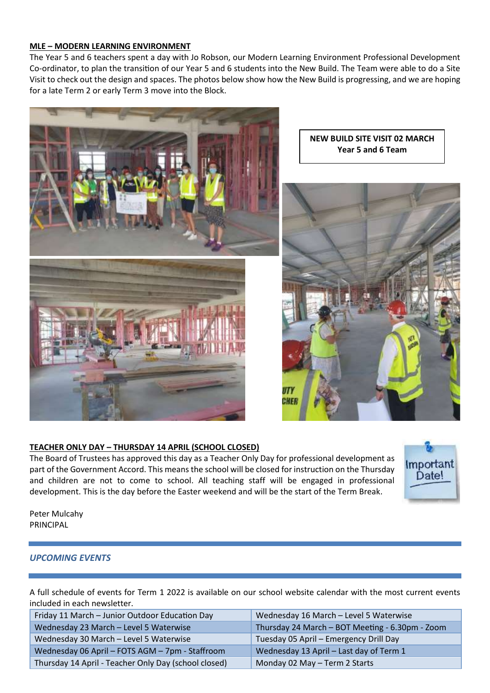### **MLE – MODERN LEARNING ENVIRONMENT**

The Year 5 and 6 teachers spent a day with Jo Robson, our Modern Learning Environment Professional Development Co-ordinator, to plan the transition of our Year 5 and 6 students into the New Build. The Team were able to do a Site Visit to check out the design and spaces. The photos below show how the New Build is progressing, and we are hoping for a late Term 2 or early Term 3 move into the Block.



**NEW BUILD SITE VISIT 02 MARCH Year 5 and 6 Team**



## **TEACHER ONLY DAY – THURSDAY 14 APRIL (SCHOOL CLOSED)**

The Board of Trustees has approved this day as a Teacher Only Day for professional development as part of the Government Accord. This means the school will be closed for instruction on the Thursday and children are not to come to school. All teaching staff will be engaged in professional development. This is the day before the Easter weekend and will be the start of the Term Break.



Peter Mulcahy PRINCIPAL

## *UPCOMING EVENTS*

A full schedule of events for Term 1 2022 is available on our school website calendar with the most current events included in each newsletter.

| Friday 11 March - Junior Outdoor Education Day       | Wednesday 16 March - Level 5 Waterwise          |  |
|------------------------------------------------------|-------------------------------------------------|--|
| Wednesday 23 March - Level 5 Waterwise               | Thursday 24 March - BOT Meeting - 6.30pm - Zoom |  |
| Wednesday 30 March - Level 5 Waterwise               | Tuesday 05 April - Emergency Drill Day          |  |
| Wednesday 06 April - FOTS AGM - 7pm - Staffroom      | Wednesday 13 April - Last day of Term 1         |  |
| Thursday 14 April - Teacher Only Day (school closed) | Monday 02 May - Term 2 Starts                   |  |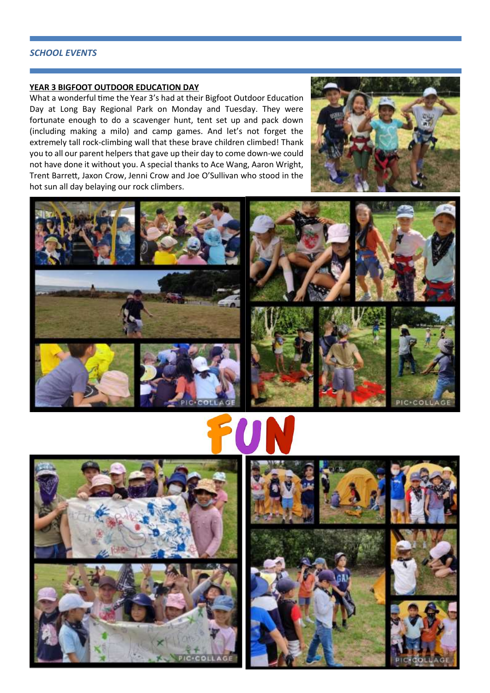#### *SCHOOL EVENTS*

#### **YEAR 3 BIGFOOT OUTDOOR EDUCATION DAY**

What a wonderful time the Year 3's had at their Bigfoot Outdoor Education Day at Long Bay Regional Park on Monday and Tuesday. They were fortunate enough to do a scavenger hunt, tent set up and pack down (including making a milo) and camp games. And let's not forget the extremely tall rock-climbing wall that these brave children climbed! Thank you to all our parent helpers that gave up their day to come down-we could not have done it without you. A special thanks to Ace Wang, Aaron Wright, Trent Barrett, Jaxon Crow, Jenni Crow and Joe O'Sullivan who stood in the hot sun all day belaying our rock climbers.















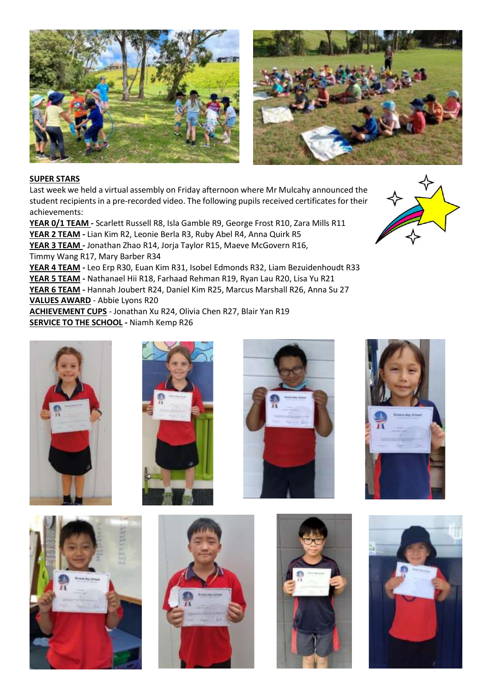



## **SUPER STARS**

Last week we held a virtual assembly on Friday afternoon where Mr Mulcahy announced the student recipients in a pre-recorded video. The following pupils received certificates for their achievements:

**YEAR 0/1 TEAM -** Scarlett Russell R8, Isla Gamble R9, George Frost R10, Zara Mills R11 **YEAR 2 TEAM -** Lian Kim R2, Leonie Berla R3, Ruby Abel R4, Anna Quirk R5 **YEAR 3 TEAM -** Jonathan Zhao R14, Jorja Taylor R15, Maeve McGovern R16, Timmy Wang R17, Mary Barber R34

**YEAR 4 TEAM -** Leo Erp R30, Euan Kim R31, Isobel Edmonds R32, Liam Bezuidenhoudt R33 **YEAR 5 TEAM -** Nathanael Hii R18, Farhaad Rehman R19, Ryan Lau R20, Lisa Yu R21 **YEAR 6 TEAM -** Hannah Joubert R24, Daniel Kim R25, Marcus Marshall R26, Anna Su 27 **VALUES AWARD** - Abbie Lyons R20

**ACHIEVEMENT CUPS** - Jonathan Xu R24, Olivia Chen R27, Blair Yan R19 **SERVICE TO THE SCHOOL -** Niamh Kemp R26

![](_page_4_Picture_7.jpeg)

![](_page_4_Picture_8.jpeg)

![](_page_4_Picture_9.jpeg)

![](_page_4_Picture_10.jpeg)

![](_page_4_Picture_11.jpeg)

![](_page_4_Picture_12.jpeg)

![](_page_4_Picture_13.jpeg)

![](_page_4_Picture_14.jpeg)

![](_page_4_Picture_15.jpeg)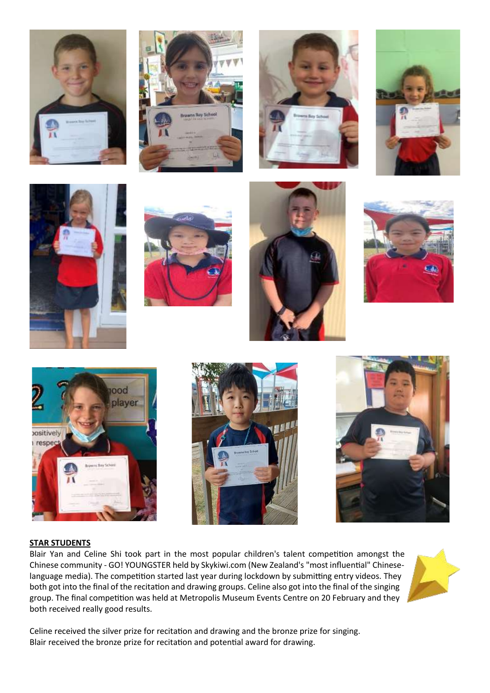![](_page_5_Picture_0.jpeg)

![](_page_5_Picture_1.jpeg)

![](_page_5_Picture_2.jpeg)

![](_page_5_Picture_3.jpeg)

![](_page_5_Picture_4.jpeg)

![](_page_5_Picture_5.jpeg)

![](_page_5_Picture_6.jpeg)

![](_page_5_Picture_7.jpeg)

![](_page_5_Picture_8.jpeg)

![](_page_5_Picture_9.jpeg)

![](_page_5_Picture_10.jpeg)

#### **STAR STUDENTS**

Blair Yan and Celine Shi took part in the most popular children's talent competition amongst the Chinese community - GO! YOUNGSTER held by Skykiwi.com (New Zealand's "most influential" Chineselanguage media). The competition started last year during lockdown by submitting entry videos. They both got into the final of the recitation and drawing groups. Celine also got into the final of the singing group. The final competition was held at Metropolis Museum Events Centre on 20 February and they both received really good results.

![](_page_5_Picture_13.jpeg)

Celine received the silver prize for recitation and drawing and the bronze prize for singing. Blair received the bronze prize for recitation and potential award for drawing.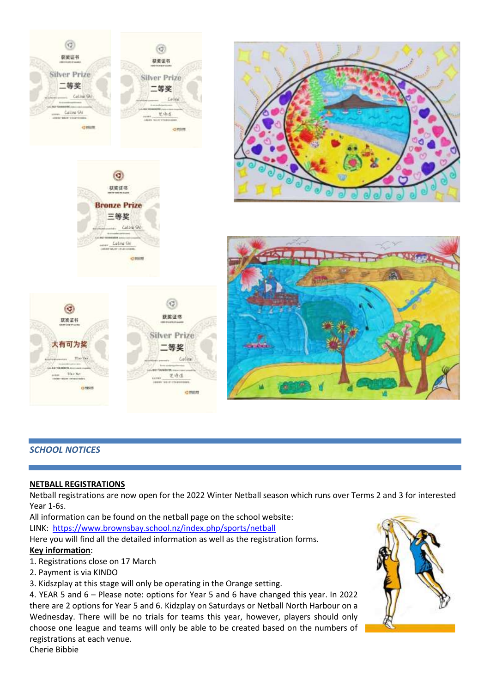![](_page_6_Picture_0.jpeg)

## *SCHOOL NOTICES*

#### **NETBALL REGISTRATIONS**

Netball registrations are now open for the 2022 Winter Netball season which runs over Terms 2 and 3 for interested Year 1-6s.

All information can be found on the netball page on the school website: LINK: <https://www.brownsbay.school.nz/index.php/sports/netball>

Here you will find all the detailed information as well as the registration forms.

## **Key information**:

- 1. Registrations close on 17 March
- 2. Payment is via KINDO
- 3. Kidszplay at this stage will only be operating in the Orange setting.

4. YEAR 5 and 6 – Please note: options for Year 5 and 6 have changed this year. In 2022 there are 2 options for Year 5 and 6. Kidzplay on Saturdays or Netball North Harbour on a Wednesday. There will be no trials for teams this year, however, players should only choose one league and teams will only be able to be created based on the numbers of registrations at each venue. Cherie Bibbie

![](_page_6_Picture_11.jpeg)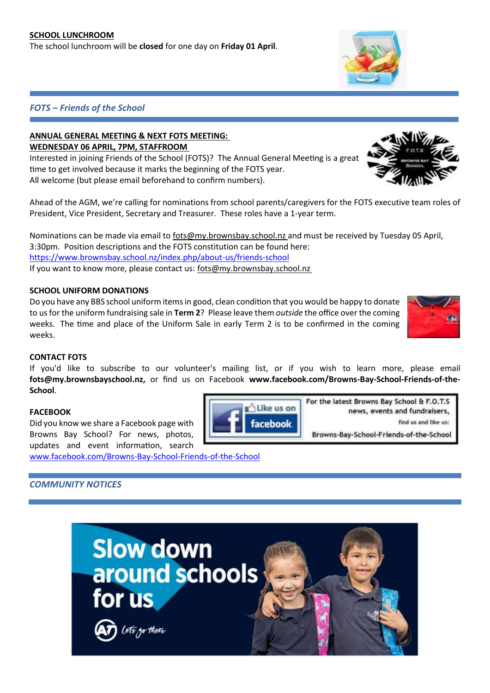The school lunchroom will be **closed** for one day on **Friday 01 April**.

## *FOTS – Friends of the School*

## **ANNUAL GENERAL MEETING & NEXT FOTS MEETING: WEDNESDAY 06 APRIL, 7PM, STAFFROOM**

Interested in joining Friends of the School (FOTS)? The Annual General Meeting is a great time to get involved because it marks the beginning of the FOTS year. All welcome (but please email beforehand to confirm numbers).

Ahead of the AGM, we're calling for nominations from school parents/caregivers for the FOTS executive team roles of President, Vice President, Secretary and Treasurer. These roles have a 1-year term.

Nominations can be made via email to fots@my.brownsbay.school.nz and must be received by Tuesday 05 April, 3:30pm. Position descriptions and the FOTS constitution can be found here: <https://www.brownsbay.school.nz/index.php/about-us/friends-school> If you want to know more, please contact us: fots@my.brownsbay.school.nz

## **SCHOOL UNIFORM DONATIONS**

Do you have any BBS school uniform items in good, clean condition that you would be happy to donate to us for the uniform fundraising sale in **Term 2**? Please leave them *outside* the office over the coming weeks. The time and place of the Uniform Sale in early Term 2 is to be confirmed in the coming weeks.

## **CONTACT FOTS**

If you'd like to subscribe to our volunteer's mailing list, or if you wish to learn more, please email **fots@my.brownsbayschool.nz,** or find us on Facebook **www.facebook.com/Browns-Bay-School-Friends-of-the-School**.

## **FACEBOOK**

Did you know we share a Facebook page with Browns Bay School? For news, photos, updates and event information, search

[www.facebook.com/Browns-Bay-School-Friends-of-the-School](http://www.facebook.com/Browns-Bay-School-Friends-of-the-School)

# *COMMUNITY NOTICES*

![](_page_7_Picture_15.jpeg)

![](_page_7_Picture_16.jpeg)

![](_page_7_Picture_17.jpeg)

![](_page_7_Picture_18.jpeg)

![](_page_7_Picture_19.jpeg)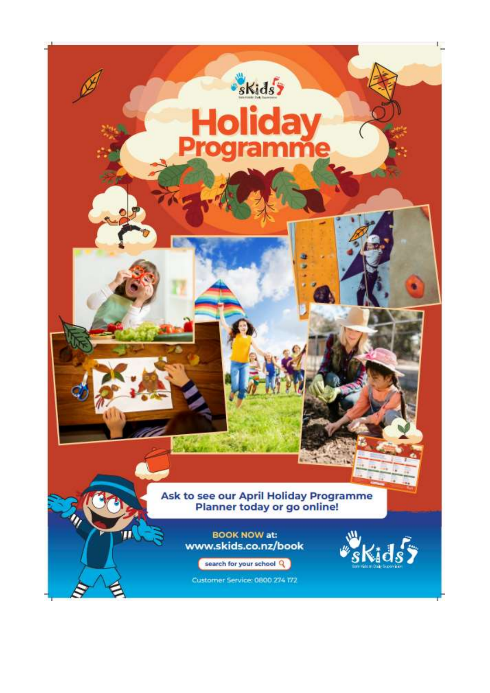![](_page_8_Picture_0.jpeg)